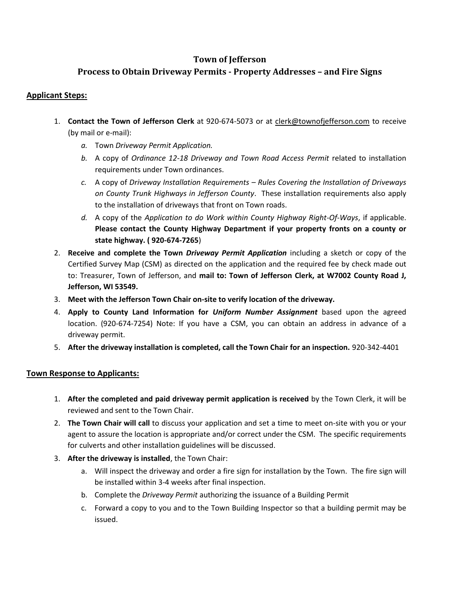### **Town of Jefferson**

# **Process to Obtain Driveway Permits - Property Addresses – and Fire Signs**

### **Applicant Steps:**

- 1. **Contact the Town of Jefferson Clerk** at 920-674-5073 or at clerk@townofjefferson.com to receive (by mail or e-mail):
	- *a.* Town *Driveway Permit Application.*
	- *b.* A copy of *Ordinance 12-18 Driveway and Town Road Access Permit* related to installation requirements under Town ordinances.
	- *c.* A copy of *Driveway Installation Requirements – Rules Covering the Installation of Driveways on County Trunk Highways in Jefferson County*. These installation requirements also apply to the installation of driveways that front on Town roads.
	- *d.* A copy of the *Application to do Work within County Highway Right-Of-Ways*, if applicable. **Please contact the County Highway Department if your property fronts on a county or state highway. ( 920-674-7265**)
- 2. **Receive and complete the Town** *Driveway Permit Application* including a sketch or copy of the Certified Survey Map (CSM) as directed on the application and the required fee by check made out to: Treasurer, Town of Jefferson, and **mail to: Town of Jefferson Clerk, at W7002 County Road J, Jefferson, WI 53549.**
- 3. **Meet with the Jefferson Town Chair on-site to verify location of the driveway.**
- 4. **Apply to County Land Information for** *Uniform Number Assignment* based upon the agreed location. (920-674-7254) Note: If you have a CSM, you can obtain an address in advance of a driveway permit.
- 5. **After the driveway installation is completed, call the Town Chair for an inspection.** 920-342-4401

#### **Town Response to Applicants:**

- 1. **After the completed and paid driveway permit application is received** by the Town Clerk, it will be reviewed and sent to the Town Chair.
- 2. **The Town Chair will call** to discuss your application and set a time to meet on-site with you or your agent to assure the location is appropriate and/or correct under the CSM. The specific requirements for culverts and other installation guidelines will be discussed.
- 3. **After the driveway is installed**, the Town Chair:
	- a. Will inspect the driveway and order a fire sign for installation by the Town. The fire sign will be installed within 3-4 weeks after final inspection.
	- b. Complete the *Driveway Permit* authorizing the issuance of a Building Permit
	- c. Forward a copy to you and to the Town Building Inspector so that a building permit may be issued.